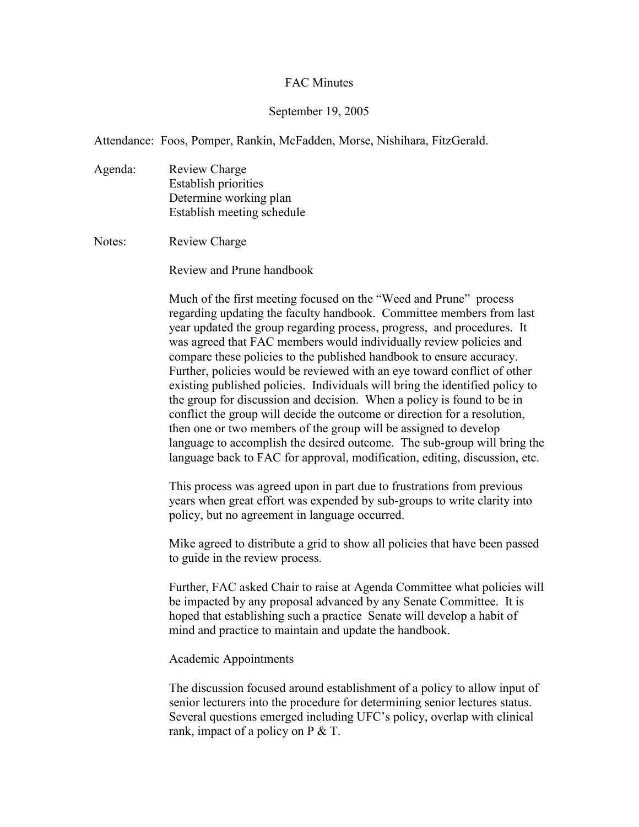## FAC Minutes

## September 19, 2005

Attendance: Foos, Pomper, Rankin, McFadden, Morse, Nishihara, FitzGerald.

Agenda: Review Charge Establish priorities Determine working plan Establish meeting schedule

Notes: Review Charge

Review and Prune handbook

Much of the first meeting focused on the "Weed and Prune" process regarding updating the faculty handbook. Committee members from last year updated the group regarding process, progress, and procedures. It was agreed that FAC members would individually review policies and compare these policies to the published handbook to ensure accuracy. Further, policies would be reviewed with an eye toward conflict of other existing published policies. Individuals will bring the identified policy to the group for discussion and decision. When a policy is found to be in conflict the group will decide the outcome or direction for a resolution, then one or two members of the group will be assigned to develop language to accomplish the desired outcome. The sub-group will bring the language back to FAC for approval, modification, editing, discussion, etc.

This process was agreed upon in part due to frustrations from previous years when great effort was expended by sub-groups to write clarity into policy, but no agreement in language occurred.

Mike agreed to distribute a grid to show all policies that have been passed to guide in the review process.

Further, FAC asked Chair to raise at Agenda Committee what policies will be impacted by any proposal advanced by any Senate Committee. It is hoped that establishing such a practice Senate will develop a habit of mind and practice to maintain and update the handbook.

## Academic Appointments

The discussion focused around establishment of a policy to allow input of senior lecturers into the procedure for determining senior lectures status. Several questions emerged including UFC's policy, overlap with clinical rank, impact of a policy on P & T.